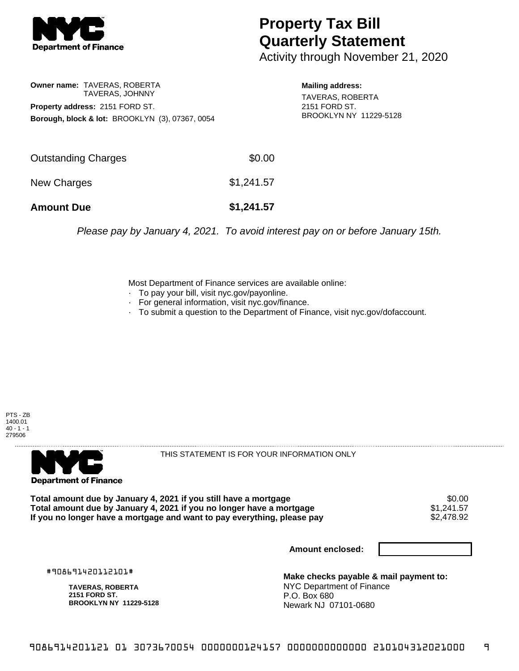

## **Property Tax Bill Quarterly Statement**

Activity through November 21, 2020

**Owner name:** TAVERAS, ROBERTA TAVERAS, JOHNNY **Property address:** 2151 FORD ST. **Borough, block & lot:** BROOKLYN (3), 07367, 0054

**Mailing address:** TAVERAS, ROBERTA 2151 FORD ST. BROOKLYN NY 11229-5128

| <b>Amount Due</b>   | \$1,241.57 |
|---------------------|------------|
| New Charges         | \$1,241.57 |
| Outstanding Charges | \$0.00     |

Please pay by January 4, 2021. To avoid interest pay on or before January 15th.

Most Department of Finance services are available online:

- · To pay your bill, visit nyc.gov/payonline.
- For general information, visit nyc.gov/finance.
- · To submit a question to the Department of Finance, visit nyc.gov/dofaccount.

PTS - ZB 1400.01  $40 - 1 - 1$ 279506



THIS STATEMENT IS FOR YOUR INFORMATION ONLY

Total amount due by January 4, 2021 if you still have a mortgage \$0.00<br>Total amount due by January 4, 2021 if you no longer have a mortgage \$1.241.57 **Total amount due by January 4, 2021 if you no longer have a mortgage**  $$1,241.57$$ **<br>If you no longer have a mortgage and want to pay everything, please pay**  $$2,478.92$$ If you no longer have a mortgage and want to pay everything, please pay

**Amount enclosed:**

#908691420112101#

**TAVERAS, ROBERTA 2151 FORD ST. BROOKLYN NY 11229-5128**

**Make checks payable & mail payment to:** NYC Department of Finance P.O. Box 680 Newark NJ 07101-0680